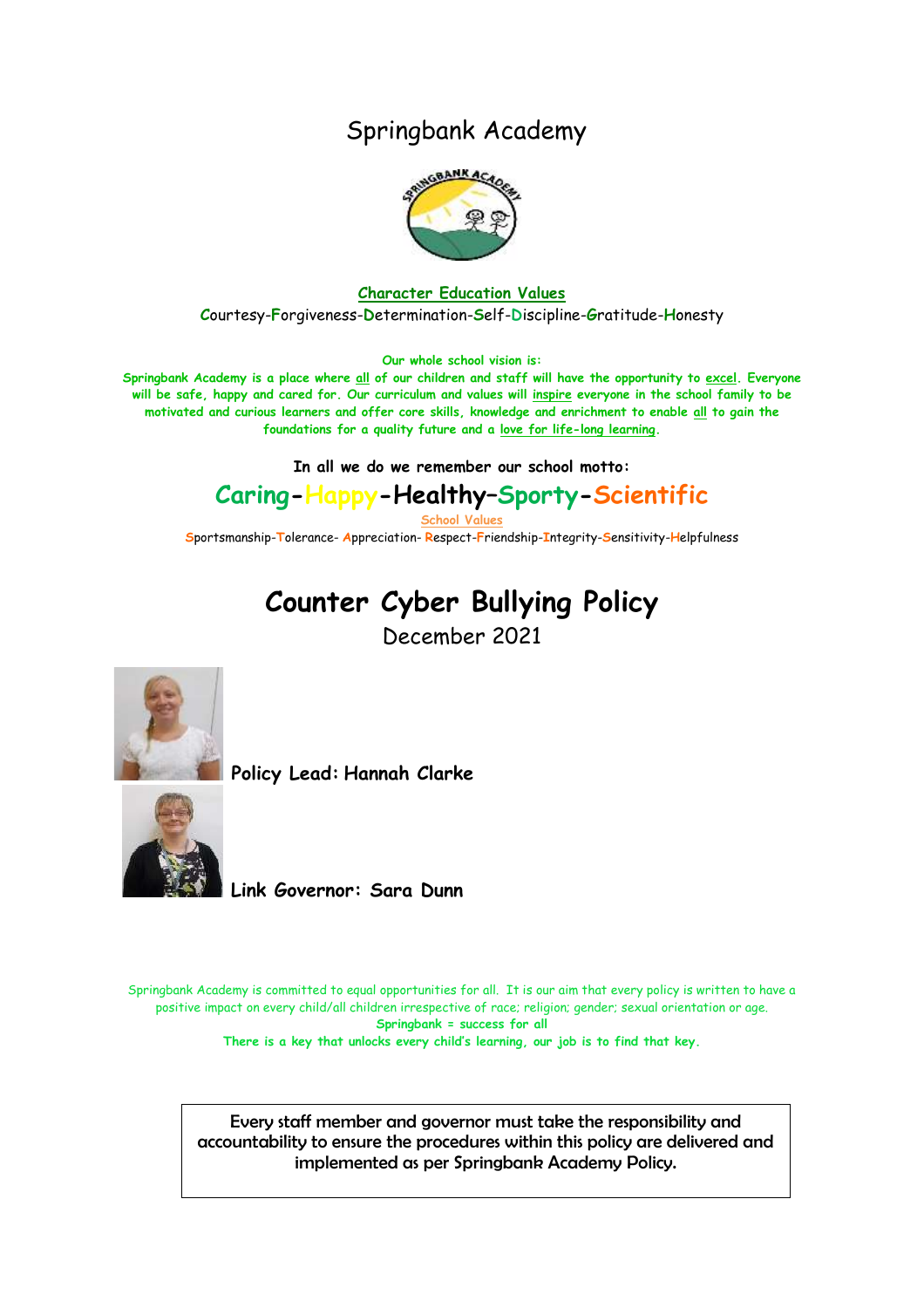## Springbank Academy



#### **Character Education Values C**ourtesy-**F**orgiveness-**D**etermination-**S**elf-**D**iscipline-**G**ratitude-**H**onesty

**Our whole school vision is:**

**Springbank Academy is a place where all of our children and staff will have the opportunity to excel. Everyone will be safe, happy and cared for. Our curriculum and values will inspire everyone in the school family to be motivated and curious learners and offer core skills, knowledge and enrichment to enable all to gain the foundations for a quality future and a love for life-long learning.**

**In all we do we remember our school motto:**

## **Caring-Happy-Healthy–Sporty-Scientific**

**School Values**

**S**portsmanship-**T**olerance- **A**ppreciation- **R**espect-**F**riendship-**I**ntegrity-**S**ensitivity-**H**elpfulness

# **Counter Cyber Bullying Policy**

December 2021



**Policy Lead: Hannah Clarke**



**Link Governor: Sara Dunn**

Springbank Academy is committed to equal opportunities for all. It is our aim that every policy is written to have a positive impact on every child/all children irrespective of race; religion; gender; sexual orientation or age. **Springbank = success for all**

**There is a key that unlocks every child's learning, our job is to find that key.**

Every staff member and governor must take the responsibility and accountability to ensure the procedures within this policy are delivered and implemented as per Springbank Academy Policy.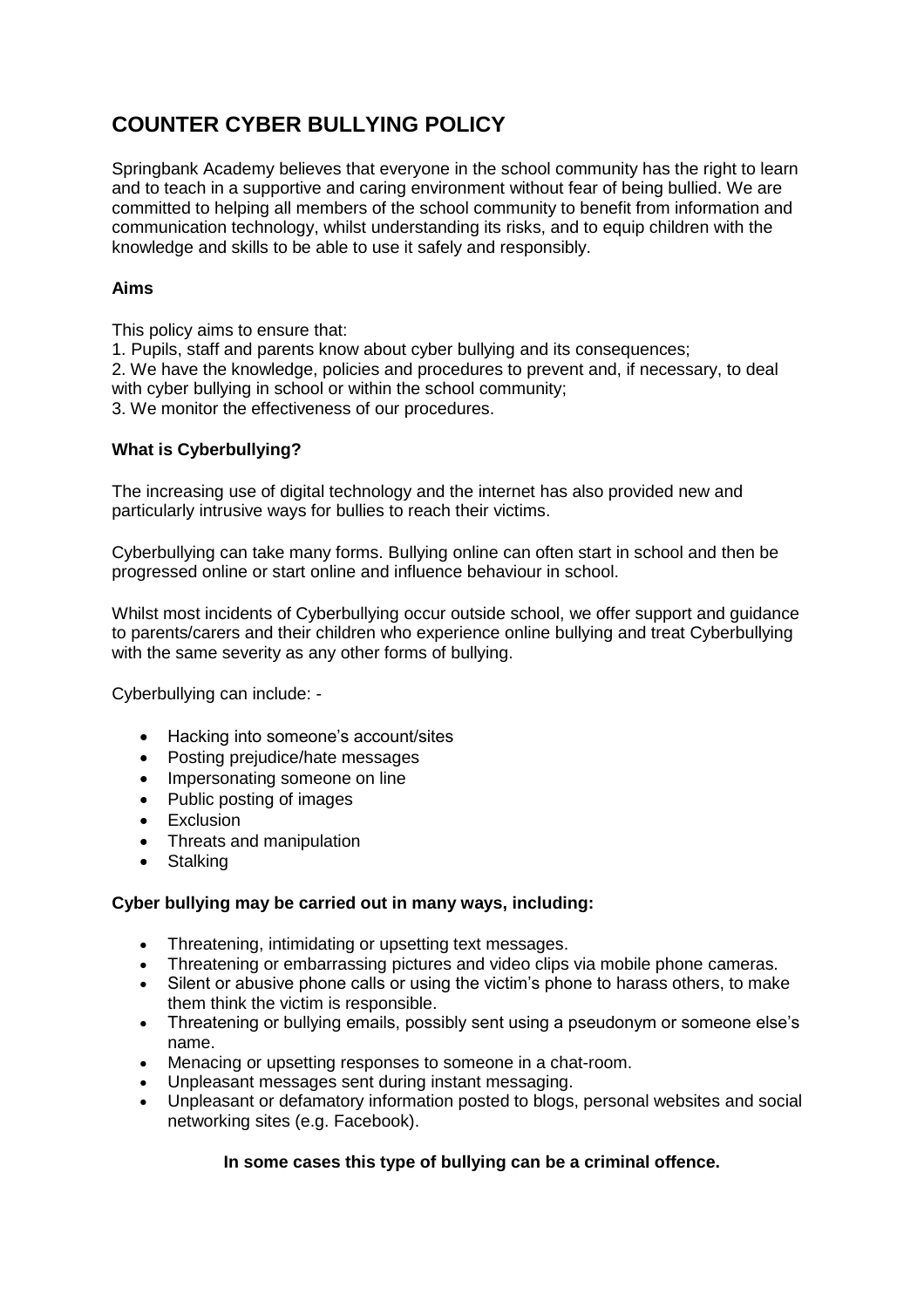## **COUNTER CYBER BULLYING POLICY**

Springbank Academy believes that everyone in the school community has the right to learn and to teach in a supportive and caring environment without fear of being bullied. We are committed to helping all members of the school community to benefit from information and communication technology, whilst understanding its risks, and to equip children with the knowledge and skills to be able to use it safely and responsibly.

#### **Aims**

This policy aims to ensure that:

1. Pupils, staff and parents know about cyber bullying and its consequences;

2. We have the knowledge, policies and procedures to prevent and, if necessary, to deal with cyber bullying in school or within the school community;

3. We monitor the effectiveness of our procedures.

#### **What is Cyberbullying?**

The increasing use of digital technology and the internet has also provided new and particularly intrusive ways for bullies to reach their victims.

Cyberbullying can take many forms. Bullying online can often start in school and then be progressed online or start online and influence behaviour in school.

Whilst most incidents of Cyberbullying occur outside school, we offer support and guidance to parents/carers and their children who experience online bullying and treat Cyberbullying with the same severity as any other forms of bullying.

Cyberbullying can include: -

- Hacking into someone's account/sites
- Posting prejudice/hate messages
- Impersonating someone on line
- Public posting of images
- Exclusion
- Threats and manipulation
- Stalking

#### **Cyber bullying may be carried out in many ways, including:**

- Threatening, intimidating or upsetting text messages.
- Threatening or embarrassing pictures and video clips via mobile phone cameras.
- Silent or abusive phone calls or using the victim's phone to harass others, to make them think the victim is responsible.
- Threatening or bullying emails, possibly sent using a pseudonym or someone else's name.
- Menacing or upsetting responses to someone in a chat-room.
- Unpleasant messages sent during instant messaging.
- Unpleasant or defamatory information posted to blogs, personal websites and social networking sites (e.g. Facebook).

#### **In some cases this type of bullying can be a criminal offence.**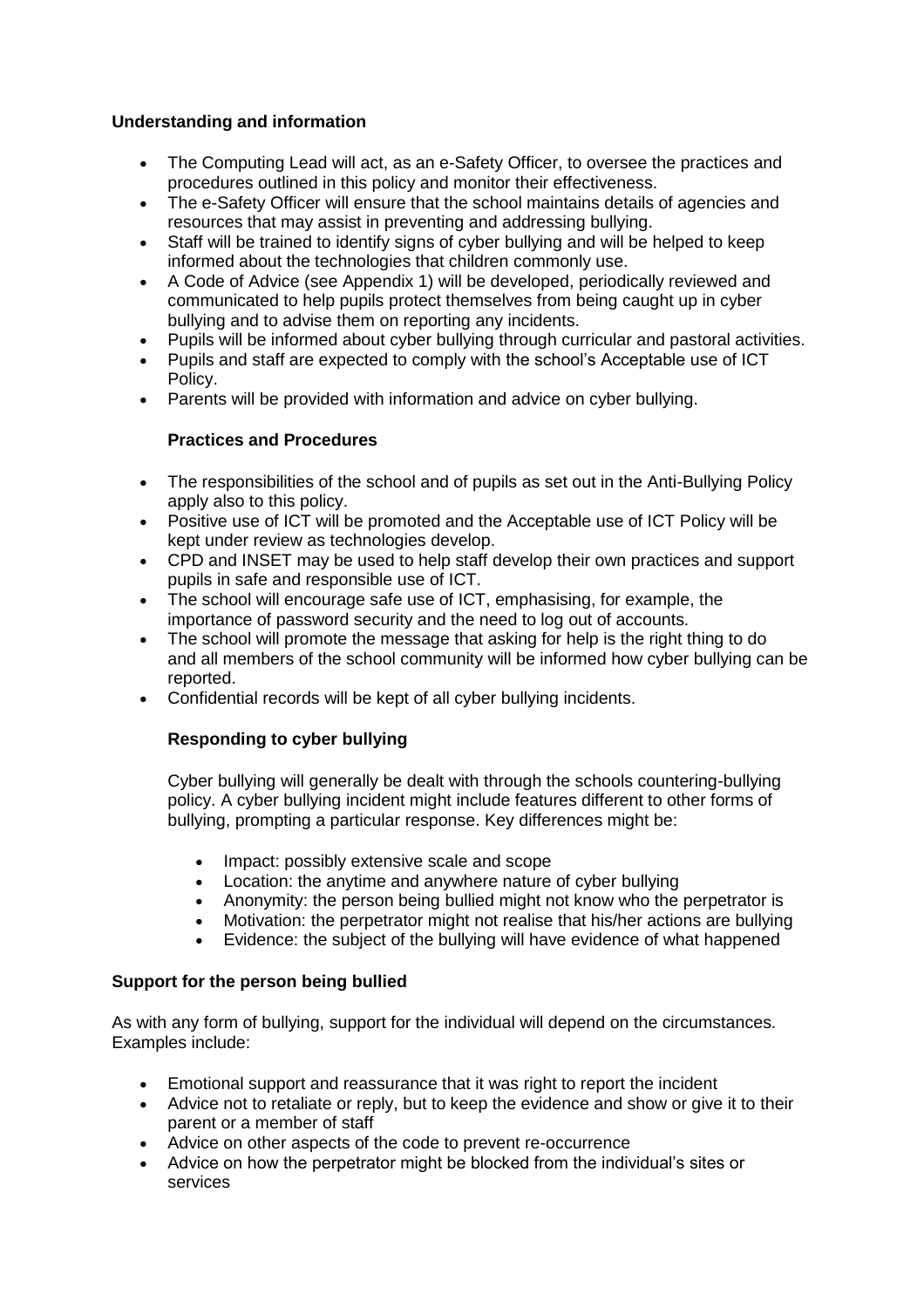#### **Understanding and information**

- The Computing Lead will act, as an e-Safety Officer, to oversee the practices and procedures outlined in this policy and monitor their effectiveness.
- The e-Safety Officer will ensure that the school maintains details of agencies and resources that may assist in preventing and addressing bullying.
- Staff will be trained to identify signs of cyber bullying and will be helped to keep informed about the technologies that children commonly use.
- A Code of Advice (see Appendix 1) will be developed, periodically reviewed and communicated to help pupils protect themselves from being caught up in cyber bullying and to advise them on reporting any incidents.
- Pupils will be informed about cyber bullying through curricular and pastoral activities.
- Pupils and staff are expected to comply with the school's Acceptable use of ICT Policy.
- Parents will be provided with information and advice on cyber bullying.

#### **Practices and Procedures**

- The responsibilities of the school and of pupils as set out in the Anti-Bullying Policy apply also to this policy.
- Positive use of ICT will be promoted and the Acceptable use of ICT Policy will be kept under review as technologies develop.
- CPD and INSET may be used to help staff develop their own practices and support pupils in safe and responsible use of ICT.
- The school will encourage safe use of ICT, emphasising, for example, the importance of password security and the need to log out of accounts.
- The school will promote the message that asking for help is the right thing to do and all members of the school community will be informed how cyber bullying can be reported.
- Confidential records will be kept of all cyber bullying incidents.

#### **Responding to cyber bullying**

Cyber bullying will generally be dealt with through the schools countering-bullying policy. A cyber bullying incident might include features different to other forms of bullying, prompting a particular response. Key differences might be:

- Impact: possibly extensive scale and scope
- Location: the anytime and anywhere nature of cyber bullying
- Anonymity: the person being bullied might not know who the perpetrator is
- Motivation: the perpetrator might not realise that his/her actions are bullying
- Evidence: the subject of the bullying will have evidence of what happened

#### **Support for the person being bullied**

As with any form of bullying, support for the individual will depend on the circumstances. Examples include:

- Emotional support and reassurance that it was right to report the incident
- Advice not to retaliate or reply, but to keep the evidence and show or give it to their parent or a member of staff
- Advice on other aspects of the code to prevent re-occurrence
- Advice on how the perpetrator might be blocked from the individual's sites or services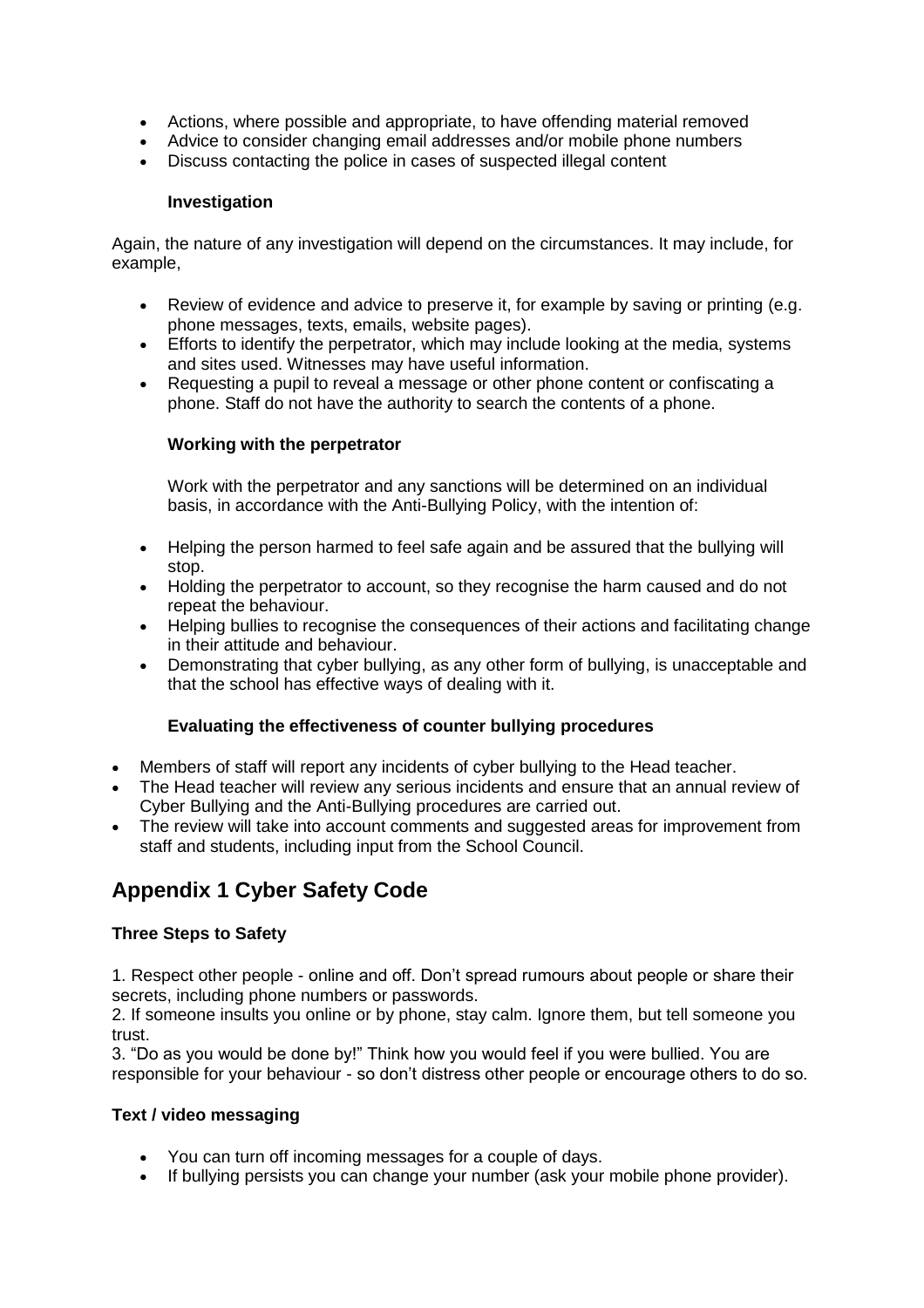- Actions, where possible and appropriate, to have offending material removed
- Advice to consider changing email addresses and/or mobile phone numbers
- Discuss contacting the police in cases of suspected illegal content

#### **Investigation**

Again, the nature of any investigation will depend on the circumstances. It may include, for example,

- Review of evidence and advice to preserve it, for example by saving or printing (e.g. phone messages, texts, emails, website pages).
- Efforts to identify the perpetrator, which may include looking at the media, systems and sites used. Witnesses may have useful information.
- Requesting a pupil to reveal a message or other phone content or confiscating a phone. Staff do not have the authority to search the contents of a phone.

#### **Working with the perpetrator**

Work with the perpetrator and any sanctions will be determined on an individual basis, in accordance with the Anti-Bullying Policy, with the intention of:

- Helping the person harmed to feel safe again and be assured that the bullying will stop.
- Holding the perpetrator to account, so they recognise the harm caused and do not repeat the behaviour.
- Helping bullies to recognise the consequences of their actions and facilitating change in their attitude and behaviour.
- Demonstrating that cyber bullying, as any other form of bullying, is unacceptable and that the school has effective ways of dealing with it.

#### **Evaluating the effectiveness of counter bullying procedures**

- Members of staff will report any incidents of cyber bullying to the Head teacher.
- The Head teacher will review any serious incidents and ensure that an annual review of Cyber Bullying and the Anti-Bullying procedures are carried out.
- The review will take into account comments and suggested areas for improvement from staff and students, including input from the School Council.

### **Appendix 1 Cyber Safety Code**

#### **Three Steps to Safety**

1. Respect other people - online and off. Don't spread rumours about people or share their secrets, including phone numbers or passwords.

2. If someone insults you online or by phone, stay calm. Ignore them, but tell someone you trust.

3. "Do as you would be done by!" Think how you would feel if you were bullied. You are responsible for your behaviour - so don't distress other people or encourage others to do so.

#### **Text / video messaging**

- You can turn off incoming messages for a couple of days.
- If bullying persists you can change your number (ask your mobile phone provider).